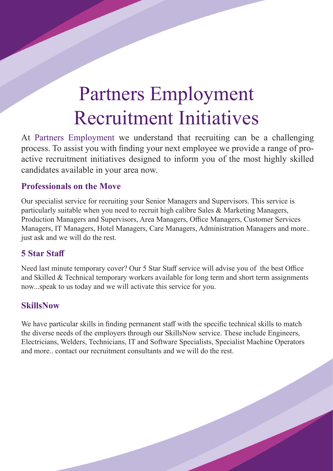# Partners Employment Recruitment Initiatives

At Partners Employment we understand that recruiting can be a challenging process. To assist you with finding your next employee we provide a range of proactive recruitment initiatives designed to inform you of the most highly skilled candidates available in your area now.

### **Professionals on the Move**

Our specialist service for recruiting your Senior Managers and Supervisors. This service is particularly suitable when you need to recruit high calibre Sales & Marketing Managers, Production Managers and Supervisors, Area Managers, Office Managers, Customer Services Managers, IT Managers, Hotel Managers, Care Managers, Administration Managers and more.. just ask and we will do the rest.

## **5 Star Staff**

Need last minute temporary cover? Our 5 Star Staff service will advise you of the best Office and Skilled & Technical temporary workers available for long term and short term assignments now...speak to us today and we will activate this service for you.

### **SkillsNow**

We have particular skills in finding permanent staff with the specific technical skills to match the diverse needs of the employers through our SkillsNow service. These include Engineers, Electricians, Welders, Technicians, IT and Software Specialists, Specialist Machine Operators and more.. contact our recruitment consultants and we will do the rest.